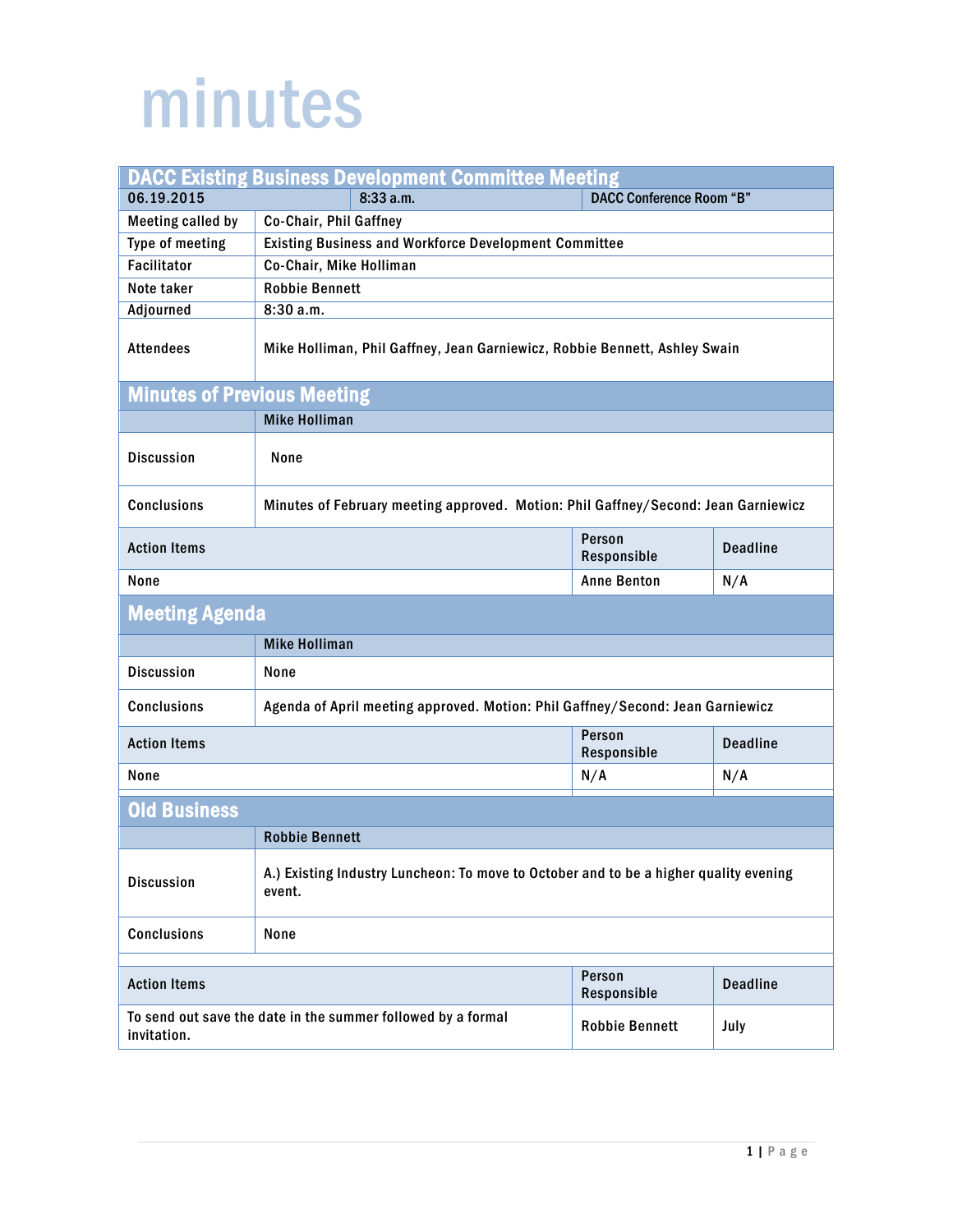## minutes

| <b>DACC Existing Business Development Committee Meeting</b>                 |                                                                                                 |                                 |                 |  |  |
|-----------------------------------------------------------------------------|-------------------------------------------------------------------------------------------------|---------------------------------|-----------------|--|--|
| 06.19.2015                                                                  | 8:33 a.m.                                                                                       | <b>DACC Conference Room "B"</b> |                 |  |  |
| <b>Meeting called by</b>                                                    | Co-Chair, Phil Gaffney                                                                          |                                 |                 |  |  |
| Type of meeting                                                             | Existing Business and Workforce Development Committee                                           |                                 |                 |  |  |
| <b>Facilitator</b>                                                          | Co-Chair, Mike Holliman                                                                         |                                 |                 |  |  |
| Note taker                                                                  | <b>Robbie Bennett</b>                                                                           |                                 |                 |  |  |
| Adjourned                                                                   | 8:30 a.m.                                                                                       |                                 |                 |  |  |
| <b>Attendees</b>                                                            | Mike Holliman, Phil Gaffney, Jean Garniewicz, Robbie Bennett, Ashley Swain                      |                                 |                 |  |  |
| <b>Minutes of Previous Meeting</b>                                          |                                                                                                 |                                 |                 |  |  |
|                                                                             | <b>Mike Holliman</b>                                                                            |                                 |                 |  |  |
| <b>Discussion</b>                                                           | None                                                                                            |                                 |                 |  |  |
| <b>Conclusions</b>                                                          | Minutes of February meeting approved. Motion: Phil Gaffney/Second: Jean Garniewicz              |                                 |                 |  |  |
| <b>Action Items</b>                                                         |                                                                                                 | Person<br>Responsible           | <b>Deadline</b> |  |  |
| None                                                                        |                                                                                                 | <b>Anne Benton</b>              | N/A             |  |  |
| <b>Meeting Agenda</b>                                                       |                                                                                                 |                                 |                 |  |  |
|                                                                             | <b>Mike Holliman</b>                                                                            |                                 |                 |  |  |
| <b>Discussion</b>                                                           | None                                                                                            |                                 |                 |  |  |
| <b>Conclusions</b>                                                          | Agenda of April meeting approved. Motion: Phil Gaffney/Second: Jean Garniewicz                  |                                 |                 |  |  |
| <b>Action Items</b>                                                         |                                                                                                 | Person<br>Responsible           | <b>Deadline</b> |  |  |
| None                                                                        |                                                                                                 | N/A                             | N/A             |  |  |
| <b>Old Business</b>                                                         |                                                                                                 |                                 |                 |  |  |
|                                                                             | <b>Robbie Bennett</b>                                                                           |                                 |                 |  |  |
| <b>Discussion</b>                                                           | A.) Existing Industry Luncheon: To move to October and to be a higher quality evening<br>event. |                                 |                 |  |  |
| Conclusions                                                                 | None                                                                                            |                                 |                 |  |  |
| Person                                                                      |                                                                                                 |                                 |                 |  |  |
| <b>Action Items</b>                                                         |                                                                                                 | Responsible                     | <b>Deadline</b> |  |  |
| To send out save the date in the summer followed by a formal<br>invitation. |                                                                                                 | <b>Robbie Bennett</b>           | July            |  |  |